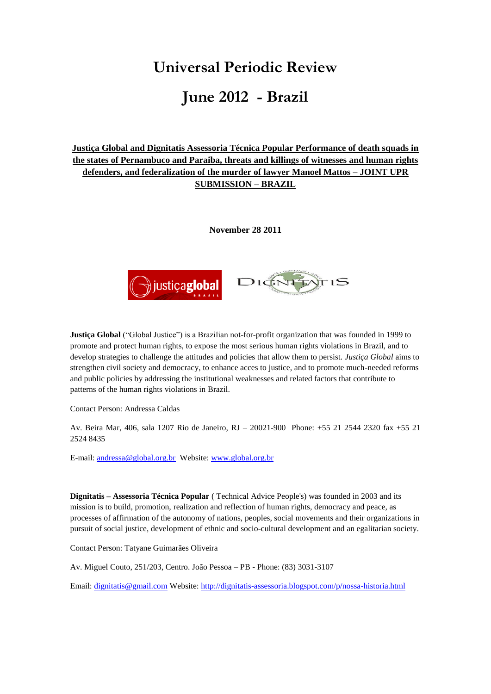# **Universal Periodic Review June 2012 - Brazil**

**Justiça Global and Dignitatis Assessoria Técnica Popular Performance of death squads in the states of Pernambuco and Paraiba, threats and killings of witnesses and human rights defenders, and federalization of the murder of lawyer Manoel Mattos – JOINT UPR SUBMISSION – BRAZIL** 

**November 28 2011**



**Justiça Global** ("Global Justice") is a Brazilian not-for-profit organization that was founded in 1999 to promote and protect human rights, to expose the most serious human rights violations in Brazil, and to develop strategies to challenge the attitudes and policies that allow them to persist. *Justiça Global* aims to strengthen civil society and democracy, to enhance acces to justice, and to promote much-needed reforms and public policies by addressing the institutional weaknesses and related factors that contribute to patterns of the human rights violations in Brazil.

Contact Person: Andressa Caldas

Av. Beira Mar, 406, sala 1207 Rio de Janeiro, RJ – 20021-900 Phone: +55 21 2544 2320 fax +55 21 2524 8435

E-mail[: andressa@global.org.br](mailto:andressa@global.org.br) Website: [www.global.org.br](http://www.global.org.br/) 

**Dignitatis – Assessoria Técnica Popular** ( Technical Advice People's) was founded in 2003 and its mission is to build, promotion, realization and reflection of human rights, democracy and peace, as processes of affirmation of the autonomy of nations, peoples, social movements and their organizations in pursuit of social justice, development of ethnic and socio-cultural development and an egalitarian society.

Contact Person: Tatyane Guimarães Oliveira

Av. Miguel Couto, 251/203, Centro. João Pessoa – PB - Phone: (83) 3031-3107

Email: [dignitatis@gmail.com](mailto:dignitatis@gmail.com) Website[: http://dignitatis-assessoria.blogspot.com/p/nossa-historia.html](http://dignitatis-assessoria.blogspot.com/p/nossa-historia.html)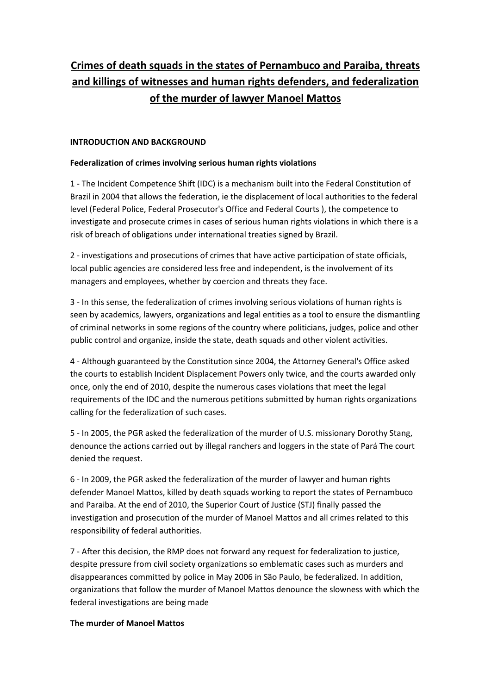# **Crimes of death squads in the states of Pernambuco and Paraiba, threats and killings of witnesses and human rights defenders, and federalization of the murder of lawyer Manoel Mattos**

#### **INTRODUCTION AND BACKGROUND**

#### **Federalization of crimes involving serious human rights violations**

1 - The Incident Competence Shift (IDC) is a mechanism built into the Federal Constitution of Brazil in 2004 that allows the federation, ie the displacement of local authorities to the federal level (Federal Police, Federal Prosecutor's Office and Federal Courts ), the competence to investigate and prosecute crimes in cases of serious human rights violations in which there is a risk of breach of obligations under international treaties signed by Brazil.

2 - investigations and prosecutions of crimes that have active participation of state officials, local public agencies are considered less free and independent, is the involvement of its managers and employees, whether by coercion and threats they face.

3 - In this sense, the federalization of crimes involving serious violations of human rights is seen by academics, lawyers, organizations and legal entities as a tool to ensure the dismantling of criminal networks in some regions of the country where politicians, judges, police and other public control and organize, inside the state, death squads and other violent activities.

4 - Although guaranteed by the Constitution since 2004, the Attorney General's Office asked the courts to establish Incident Displacement Powers only twice, and the courts awarded only once, only the end of 2010, despite the numerous cases violations that meet the legal requirements of the IDC and the numerous petitions submitted by human rights organizations calling for the federalization of such cases.

5 - In 2005, the PGR asked the federalization of the murder of U.S. missionary Dorothy Stang, denounce the actions carried out by illegal ranchers and loggers in the state of Pará The court denied the request.

6 - In 2009, the PGR asked the federalization of the murder of lawyer and human rights defender Manoel Mattos, killed by death squads working to report the states of Pernambuco and Paraiba. At the end of 2010, the Superior Court of Justice (STJ) finally passed the investigation and prosecution of the murder of Manoel Mattos and all crimes related to this responsibility of federal authorities.

7 - After this decision, the RMP does not forward any request for federalization to justice, despite pressure from civil society organizations so emblematic cases such as murders and disappearances committed by police in May 2006 in São Paulo, be federalized. In addition, organizations that follow the murder of Manoel Mattos denounce the slowness with which the federal investigations are being made

#### **The murder of Manoel Mattos**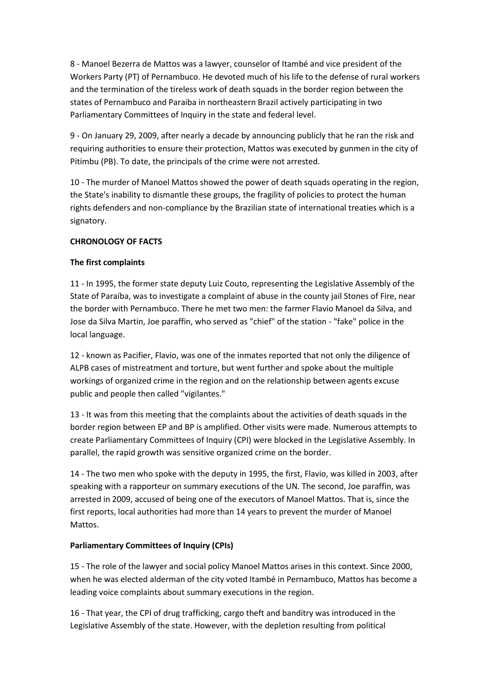8 - Manoel Bezerra de Mattos was a lawyer, counselor of Itambé and vice president of the Workers Party (PT) of Pernambuco. He devoted much of his life to the defense of rural workers and the termination of the tireless work of death squads in the border region between the states of Pernambuco and Paraiba in northeastern Brazil actively participating in two Parliamentary Committees of Inquiry in the state and federal level.

9 - On January 29, 2009, after nearly a decade by announcing publicly that he ran the risk and requiring authorities to ensure their protection, Mattos was executed by gunmen in the city of Pitimbu (PB). To date, the principals of the crime were not arrested.

10 - The murder of Manoel Mattos showed the power of death squads operating in the region, the State's inability to dismantle these groups, the fragility of policies to protect the human rights defenders and non-compliance by the Brazilian state of international treaties which is a signatory.

### **CHRONOLOGY OF FACTS**

#### **The first complaints**

11 - In 1995, the former state deputy Luiz Couto, representing the Legislative Assembly of the State of Paraíba, was to investigate a complaint of abuse in the county jail Stones of Fire, near the border with Pernambuco. There he met two men: the farmer Flavio Manoel da Silva, and Jose da Silva Martin, Joe paraffin, who served as "chief" of the station - "fake" police in the local language.

12 - known as Pacifier, Flavio, was one of the inmates reported that not only the diligence of ALPB cases of mistreatment and torture, but went further and spoke about the multiple workings of organized crime in the region and on the relationship between agents excuse public and people then called "vigilantes."

13 - It was from this meeting that the complaints about the activities of death squads in the border region between EP and BP is amplified. Other visits were made. Numerous attempts to create Parliamentary Committees of Inquiry (CPI) were blocked in the Legislative Assembly. In parallel, the rapid growth was sensitive organized crime on the border.

14 - The two men who spoke with the deputy in 1995, the first, Flavio, was killed in 2003, after speaking with a rapporteur on summary executions of the UN. The second, Joe paraffin, was arrested in 2009, accused of being one of the executors of Manoel Mattos. That is, since the first reports, local authorities had more than 14 years to prevent the murder of Manoel Mattos.

#### **Parliamentary Committees of Inquiry (CPIs)**

15 - The role of the lawyer and social policy Manoel Mattos arises in this context. Since 2000, when he was elected alderman of the city voted Itambé in Pernambuco, Mattos has become a leading voice complaints about summary executions in the region.

16 - That year, the CPI of drug trafficking, cargo theft and banditry was introduced in the Legislative Assembly of the state. However, with the depletion resulting from political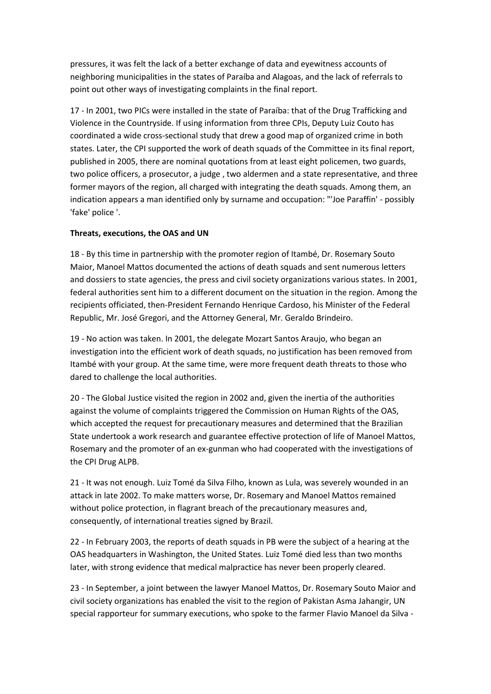pressures, it was felt the lack of a better exchange of data and eyewitness accounts of neighboring municipalities in the states of Paraíba and Alagoas, and the lack of referrals to point out other ways of investigating complaints in the final report.

17 - In 2001, two PICs were installed in the state of Paraíba: that of the Drug Trafficking and Violence in the Countryside. If using information from three CPIs, Deputy Luiz Couto has coordinated a wide cross-sectional study that drew a good map of organized crime in both states. Later, the CPI supported the work of death squads of the Committee in its final report, published in 2005, there are nominal quotations from at least eight policemen, two guards, two police officers, a prosecutor, a judge , two aldermen and a state representative, and three former mayors of the region, all charged with integrating the death squads. Among them, an indication appears a man identified only by surname and occupation: "'Joe Paraffin' - possibly 'fake' police '.

#### **Threats, executions, the OAS and UN**

18 - By this time in partnership with the promoter region of Itambé, Dr. Rosemary Souto Maior, Manoel Mattos documented the actions of death squads and sent numerous letters and dossiers to state agencies, the press and civil society organizations various states. In 2001, federal authorities sent him to a different document on the situation in the region. Among the recipients officiated, then-President Fernando Henrique Cardoso, his Minister of the Federal Republic, Mr. José Gregori, and the Attorney General, Mr. Geraldo Brindeiro.

19 - No action was taken. In 2001, the delegate Mozart Santos Araujo, who began an investigation into the efficient work of death squads, no justification has been removed from Itambé with your group. At the same time, were more frequent death threats to those who dared to challenge the local authorities.

20 - The Global Justice visited the region in 2002 and, given the inertia of the authorities against the volume of complaints triggered the Commission on Human Rights of the OAS, which accepted the request for precautionary measures and determined that the Brazilian State undertook a work research and guarantee effective protection of life of Manoel Mattos, Rosemary and the promoter of an ex-gunman who had cooperated with the investigations of the CPI Drug ALPB.

21 - It was not enough. Luiz Tomé da Silva Filho, known as Lula, was severely wounded in an attack in late 2002. To make matters worse, Dr. Rosemary and Manoel Mattos remained without police protection, in flagrant breach of the precautionary measures and, consequently, of international treaties signed by Brazil.

22 - In February 2003, the reports of death squads in PB were the subject of a hearing at the OAS headquarters in Washington, the United States. Luiz Tomé died less than two months later, with strong evidence that medical malpractice has never been properly cleared.

23 - In September, a joint between the lawyer Manoel Mattos, Dr. Rosemary Souto Maior and civil society organizations has enabled the visit to the region of Pakistan Asma Jahangir, UN special rapporteur for summary executions, who spoke to the farmer Flavio Manoel da Silva -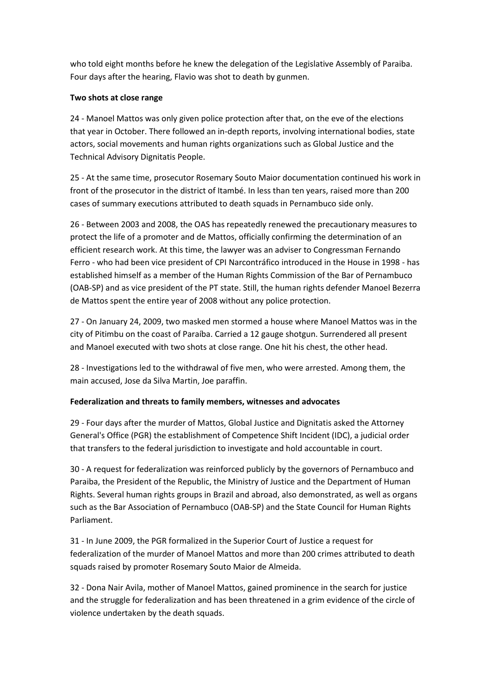who told eight months before he knew the delegation of the Legislative Assembly of Paraiba. Four days after the hearing, Flavio was shot to death by gunmen.

#### **Two shots at close range**

24 - Manoel Mattos was only given police protection after that, on the eve of the elections that year in October. There followed an in-depth reports, involving international bodies, state actors, social movements and human rights organizations such as Global Justice and the Technical Advisory Dignitatis People.

25 - At the same time, prosecutor Rosemary Souto Maior documentation continued his work in front of the prosecutor in the district of Itambé. In less than ten years, raised more than 200 cases of summary executions attributed to death squads in Pernambuco side only.

26 - Between 2003 and 2008, the OAS has repeatedly renewed the precautionary measures to protect the life of a promoter and de Mattos, officially confirming the determination of an efficient research work. At this time, the lawyer was an adviser to Congressman Fernando Ferro - who had been vice president of CPI Narcontráfico introduced in the House in 1998 - has established himself as a member of the Human Rights Commission of the Bar of Pernambuco (OAB-SP) and as vice president of the PT state. Still, the human rights defender Manoel Bezerra de Mattos spent the entire year of 2008 without any police protection.

27 - On January 24, 2009, two masked men stormed a house where Manoel Mattos was in the city of Pitimbu on the coast of Paraíba. Carried a 12 gauge shotgun. Surrendered all present and Manoel executed with two shots at close range. One hit his chest, the other head.

28 - Investigations led to the withdrawal of five men, who were arrested. Among them, the main accused, Jose da Silva Martin, Joe paraffin.

## **Federalization and threats to family members, witnesses and advocates**

29 - Four days after the murder of Mattos, Global Justice and Dignitatis asked the Attorney General's Office (PGR) the establishment of Competence Shift Incident (IDC), a judicial order that transfers to the federal jurisdiction to investigate and hold accountable in court.

30 - A request for federalization was reinforced publicly by the governors of Pernambuco and Paraiba, the President of the Republic, the Ministry of Justice and the Department of Human Rights. Several human rights groups in Brazil and abroad, also demonstrated, as well as organs such as the Bar Association of Pernambuco (OAB-SP) and the State Council for Human Rights Parliament.

31 - In June 2009, the PGR formalized in the Superior Court of Justice a request for federalization of the murder of Manoel Mattos and more than 200 crimes attributed to death squads raised by promoter Rosemary Souto Maior de Almeida.

32 - Dona Nair Avila, mother of Manoel Mattos, gained prominence in the search for justice and the struggle for federalization and has been threatened in a grim evidence of the circle of violence undertaken by the death squads.